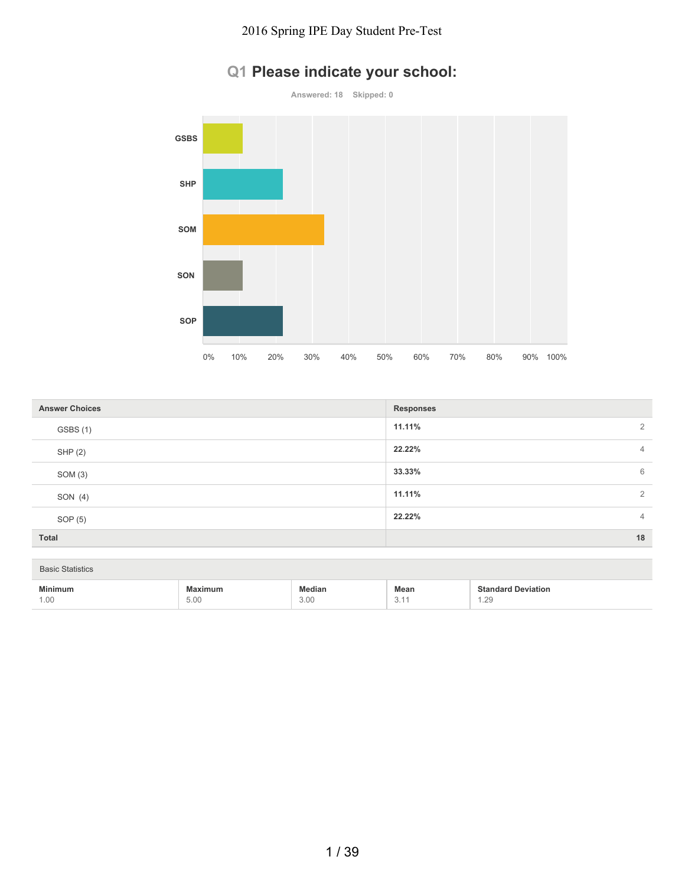

# **Q1 Please indicate your school:**

| <b>Answer Choices</b> | <b>Responses</b> |
|-----------------------|------------------|
| GSBS (1)              | 11.11%<br>2      |
| SHP (2)               | 22.22%<br>4      |
| SOM (3)               | 33.33%<br>6      |
| SON (4)               | 11.11%<br>2      |
| SOP (5)               | 22.22%<br>4      |
| Total                 | 18               |

| <b>Basic Statistics</b> |                 |                       |                                                       |                                   |
|-------------------------|-----------------|-----------------------|-------------------------------------------------------|-----------------------------------|
| <b>Minimum</b><br>1.00  | Maximum<br>5.00 | <b>Median</b><br>3.00 | Mean<br>$\overline{\phantom{0}}$<br>$\cup$ . $\vdots$ | <b>Standard Deviation</b><br>1.29 |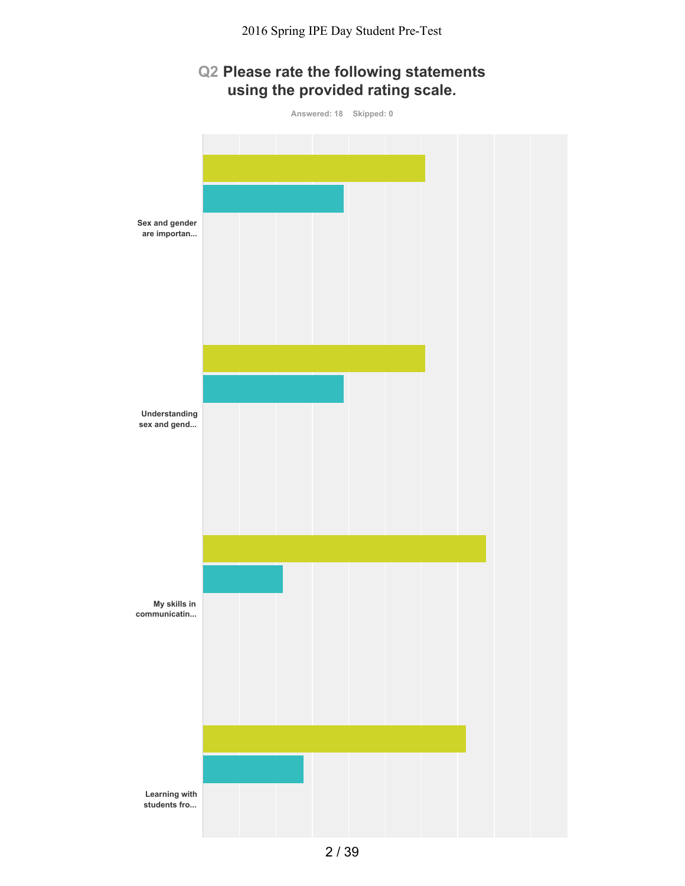## **Q2 Please rate the following statements using the provided rating scale.**

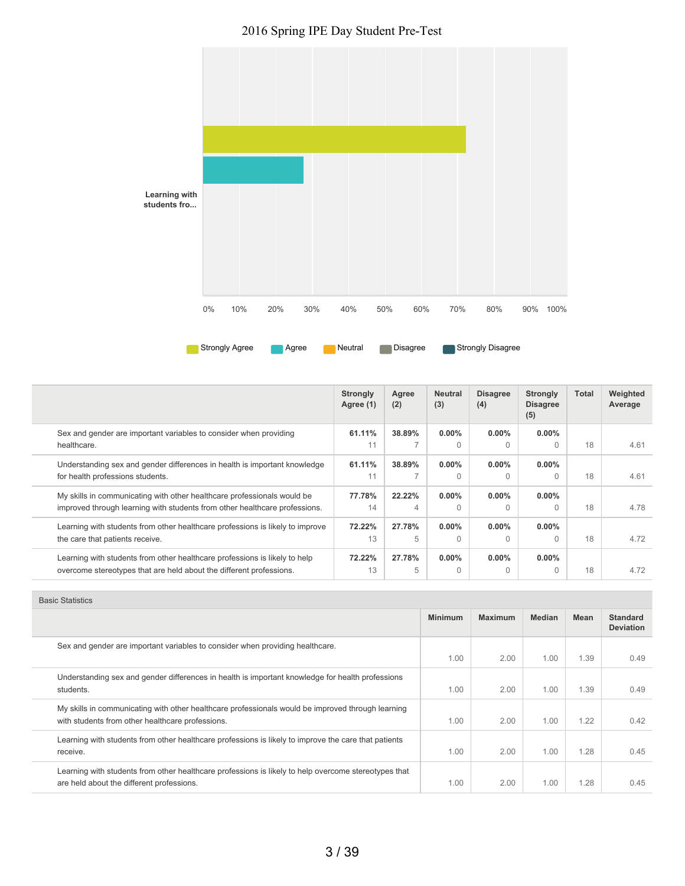2016 Spring IPE Day Student Pre-Test



|                                                                                                                                                       | <b>Strongly</b><br>Agree (1) | Agree<br>(2) | <b>Neutral</b><br>(3) | <b>Disagree</b><br>(4) | <b>Strongly</b><br><b>Disagree</b><br>(5) | Total | Weighted<br>Average |
|-------------------------------------------------------------------------------------------------------------------------------------------------------|------------------------------|--------------|-----------------------|------------------------|-------------------------------------------|-------|---------------------|
| Sex and gender are important variables to consider when providing<br>healthcare.                                                                      | 61.11%<br>11                 | 38.89%       | $0.00\%$<br>$\Omega$  | $0.00\%$<br>0          | $0.00\%$                                  | 18    | 4.61                |
| Understanding sex and gender differences in health is important knowledge<br>for health professions students.                                         | 61.11%<br>11                 | 38.89%       | $0.00\%$<br>$\Omega$  | $0.00\%$<br>0          | $0.00\%$                                  | 18    | 4.61                |
| My skills in communicating with other healthcare professionals would be<br>improved through learning with students from other healthcare professions. | 77.78%<br>14                 | 22.22%<br>4  | $0.00\%$<br>$\Omega$  | 0.00%<br>$\Omega$      | $0.00\%$<br>$\Omega$                      | 18    | 4.78                |
| Learning with students from other healthcare professions is likely to improve<br>the care that patients receive.                                      | 72.22%<br>13                 | 27.78%<br>5  | $0.00\%$<br>$\Omega$  | $0.00\%$<br>0          | $0.00\%$<br>U                             | 18    | 4.72                |
| Learning with students from other healthcare professions is likely to help<br>overcome stereotypes that are held about the different professions.     | 72.22%<br>13                 | 27.78%<br>5  | $0.00\%$<br>$\Omega$  | $0.00\%$<br>$\Omega$   | $0.00\%$<br>$\Omega$                      | 18    | 4.72                |

| <b>Basic Statistics</b>                                                                                                                               |                |                |               |      |                                     |
|-------------------------------------------------------------------------------------------------------------------------------------------------------|----------------|----------------|---------------|------|-------------------------------------|
|                                                                                                                                                       | <b>Minimum</b> | <b>Maximum</b> | <b>Median</b> | Mean | <b>Standard</b><br><b>Deviation</b> |
| Sex and gender are important variables to consider when providing healthcare.                                                                         | 1.00           | 2.00           | 1.00          | 1.39 | 0.49                                |
| Understanding sex and gender differences in health is important knowledge for health professions<br>students.                                         | 1.00           | 2.00           | 1.00          | 1.39 | 0.49                                |
| My skills in communicating with other healthcare professionals would be improved through learning<br>with students from other healthcare professions. | 1.00           | 2.00           | 1.00          | 1.22 | 0.42                                |
| Learning with students from other healthcare professions is likely to improve the care that patients<br>receive.                                      | 1.00           | 2.00           | 1.00          | 1.28 | 0.45                                |
| Learning with students from other healthcare professions is likely to help overcome stereotypes that<br>are held about the different professions.     | 1.00           | 2.00           | 1.00          | 1.28 | 0.45                                |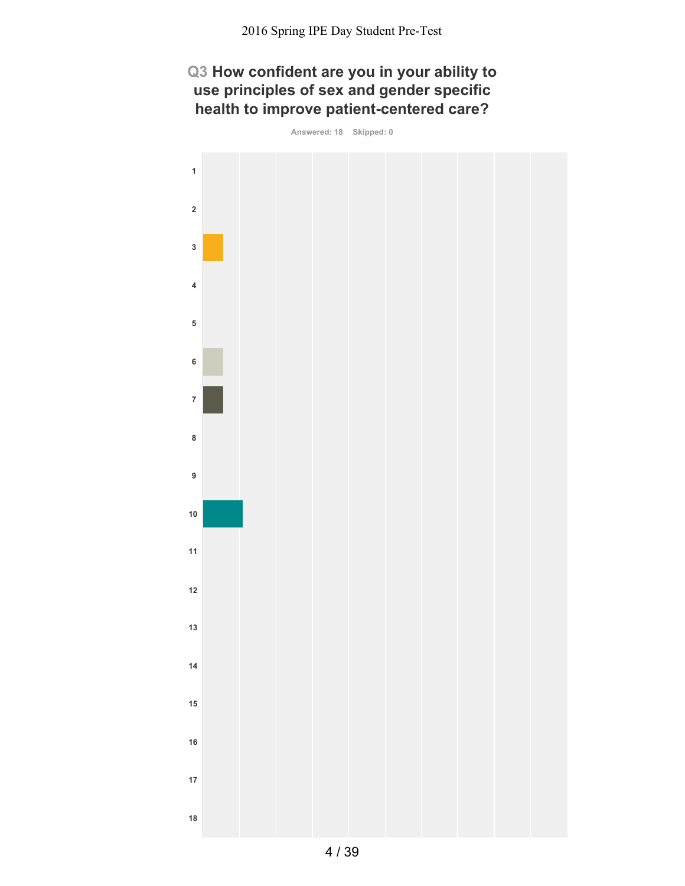## **Q3 How confident are you in your ability to use principles of sex and gender specific health to improve patient-centered care?**

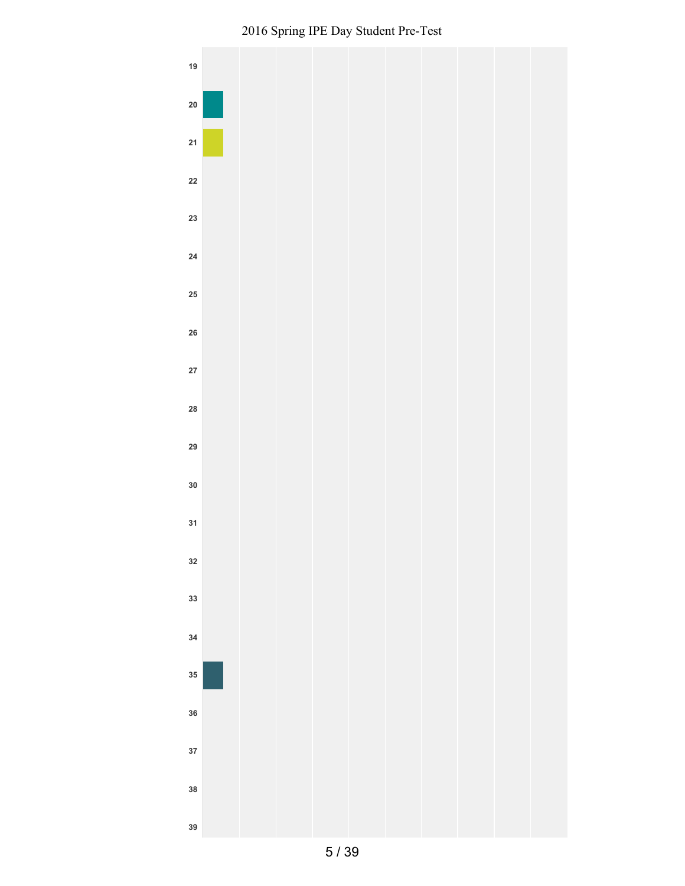

Spring IPE Day Student Pre-Test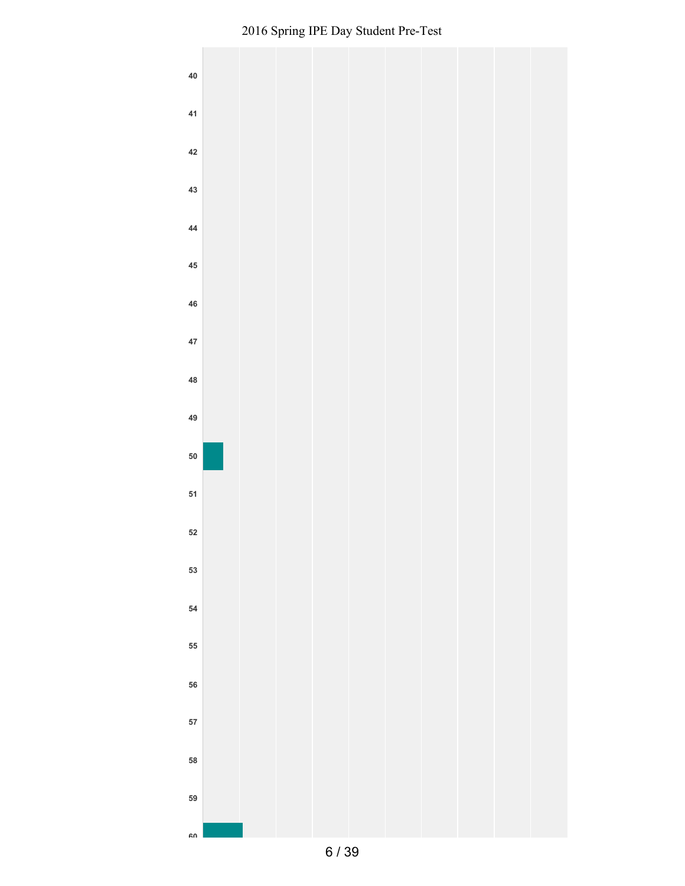

/ 39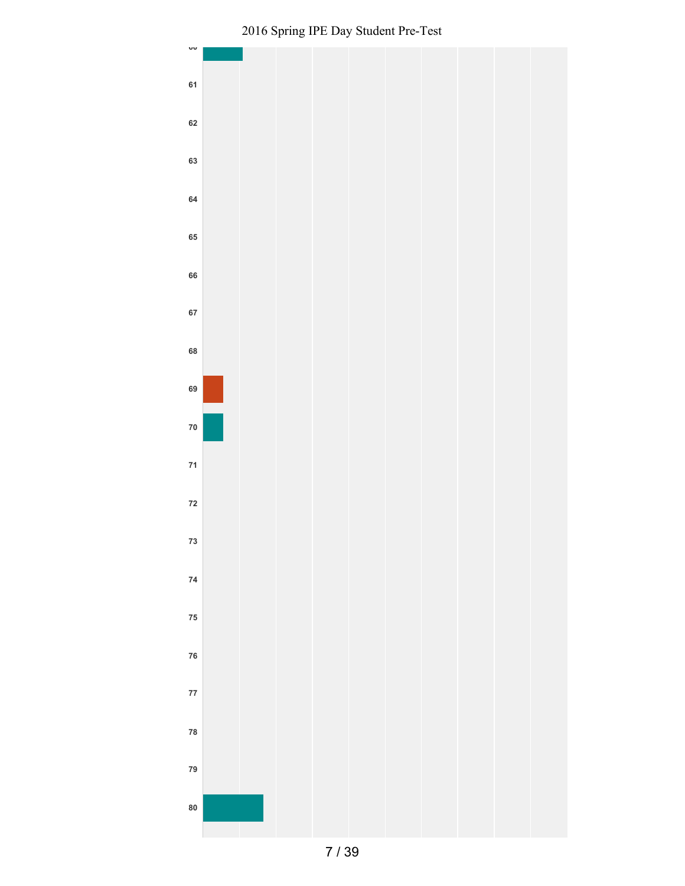

Spring IPE Day Student Pre-Test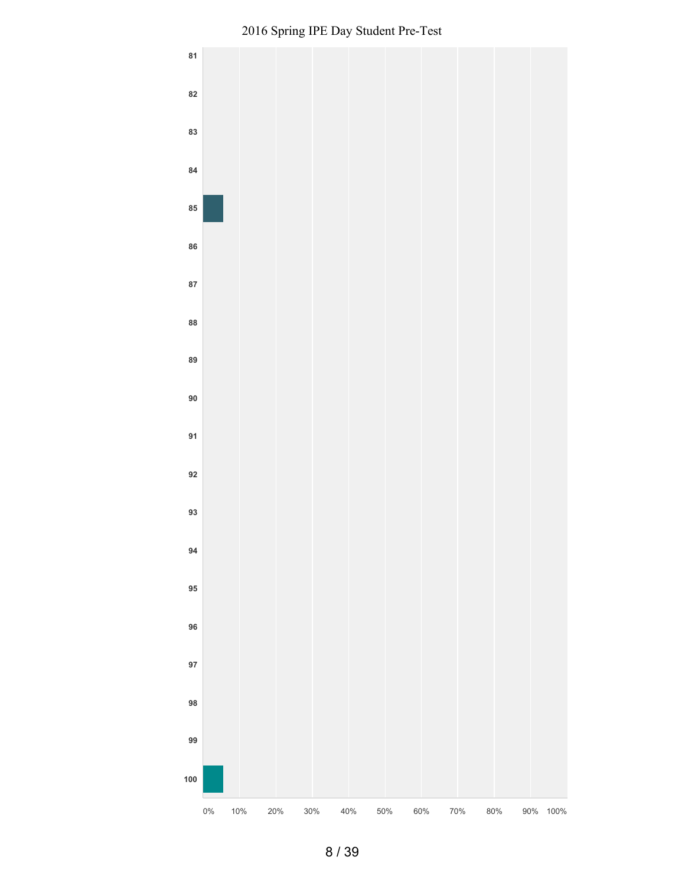

Spring IPE Day Student Pre-Test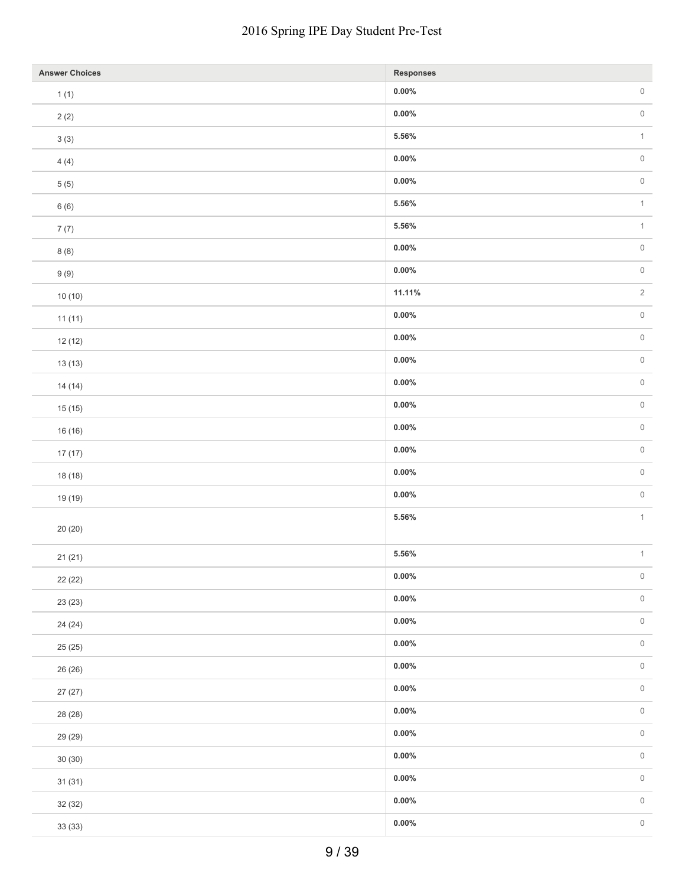| <b>Answer Choices</b> | <b>Responses</b> |              |
|-----------------------|------------------|--------------|
| 1(1)                  | $0.00\%$         | $\,0\,$      |
| 2(2)                  | $0.00\%$         | $\,0\,$      |
| $3\ (3)$              | $5.56\%$         | $\mathbf{1}$ |
| 4(4)                  | $0.00\%$         | $\,0\,$      |
| $5(5)$                | $0.00\%$         | $\,0\,$      |
| 6(6)                  | $5.56\%$         | $\mathbf{1}$ |
| 7(7)                  | $5.56\%$         | $\mathbf{1}$ |
| 8(8)                  | $0.00\%$         | $\,0\,$      |
| 9(9)                  | $0.00\%$         | $\,0\,$      |
| 10(10)                | 11.11%           | $\sqrt{2}$   |
| 11(11)                | $0.00\%$         | $\,0\,$      |
| 12(12)                | $0.00\%$         | $\,0\,$      |
| 13(13)                | $0.00\%$         | $\,0\,$      |
| 14(14)                | $0.00\%$         | $\,0\,$      |
| 15(15)                | $0.00\%$         | $\,0\,$      |
| 16 (16)               | $0.00\%$         | $\,0\,$      |
| 17(17)                | $0.00\%$         | $\,0\,$      |
| 18 (18)               | $0.00\%$         | $\,0\,$      |
| 19 (19)               | $0.00\%$         | $\,0\,$      |
|                       | $5.56\%$         | $\mathbf{1}$ |
| 20(20)                |                  |              |
| 21(21)                | $5.56\%$         | $\mathbf{1}$ |
| 22 (22)               | $0.00\%$         | $\,0\,$      |
| 23 (23)               | $0.00\%$         | $\,0\,$      |
| 24 (24)               | $0.00\%$         | $\,0\,$      |
| 25 (25)               | $0.00\%$         | $\,0\,$      |
| 26 (26)               | $0.00\%$         | $\,0\,$      |
| 27(27)                | $0.00\%$         | $\,0\,$      |
| 28 (28)               | $0.00\%$         | $\,0\,$      |
| 29 (29)               | $0.00\%$         | $\,0\,$      |
| 30(30)                | $0.00\%$         | $\,0\,$      |
| 31(31)                | $0.00\%$         | $\,0\,$      |
| 32 (32)               | $0.00\%$         | $\,0\,$      |
| 33 (33)               | $0.00\%$         | $\,0\,$      |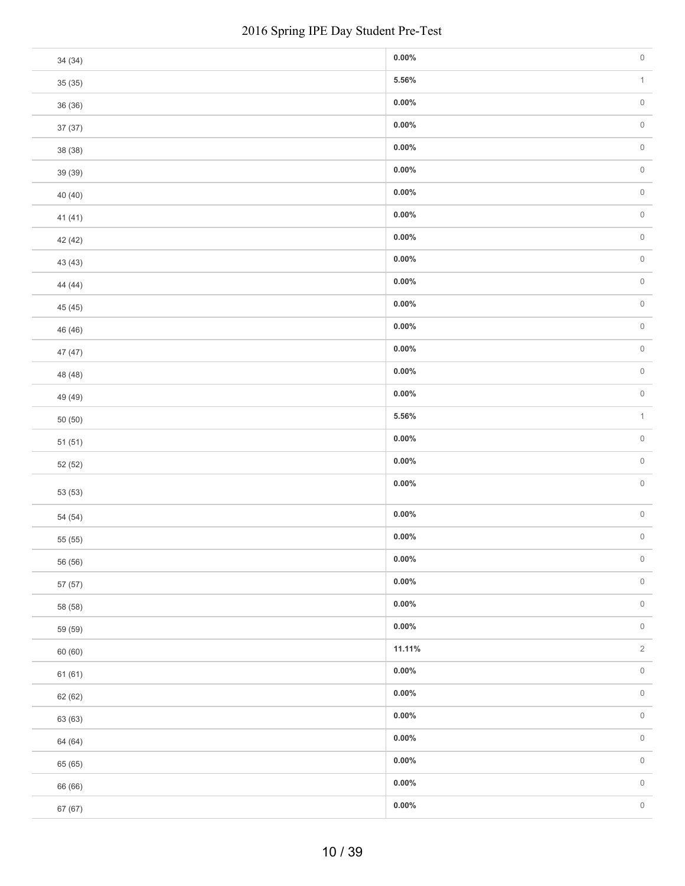|         | 2016 Spring IPE Day Student Pre-Test |  |
|---------|--------------------------------------|--|
| 34 (34) | $0.00\%$                             |  |
| 35(35)  | $5.56\%$                             |  |
| 36 (36) | $0.00\%$                             |  |
| 37 (37) | $0.00\%$                             |  |
| 38 (38) | $0.00\%$                             |  |
| 39 (39) | $0.00\%$                             |  |
| 40 (40) | $0.00\%$                             |  |
| 41 (41) | $0.00\%$                             |  |
| 42 (42) | $0.00\%$                             |  |
| 43 (43) | $0.00\%$                             |  |
| 44 (44) | $0.00\%$                             |  |
| 45 (45) | $0.00\%$                             |  |
| 46 (46) | $0.00\%$                             |  |
| 47 (47) | $0.00\%$                             |  |
| 48 (48) | $0.00\%$                             |  |
| 49 (49) | $0.00\%$                             |  |
| 50(50)  | $5.56\%$                             |  |
| 51(51)  | $0.00\%$                             |  |
| 52 (52) | $0.00\%$                             |  |
| 53 (53) | $0.00\%$                             |  |
| 54 (54) | $0.00\%$                             |  |
| 55 (55) | $0.00\%$                             |  |
| 56 (56) | $0.00\%$                             |  |
| 57 (57) | $0.00\%$                             |  |
| 58 (58) | $0.00\%$                             |  |
| 59 (59) | $0.00\%$                             |  |
| 60 (60) | 11.11%                               |  |
| 61(61)  | $0.00\%$                             |  |
| 62 (62) | $0.00\%$                             |  |
| 63 (63) | $0.00\%$                             |  |
| 64 (64) | $0.00\%$                             |  |
| 65 (65) | $0.00\%$                             |  |
| 66 (66) | $0.00\%$                             |  |
| 67 (67) | $0.00\%$                             |  |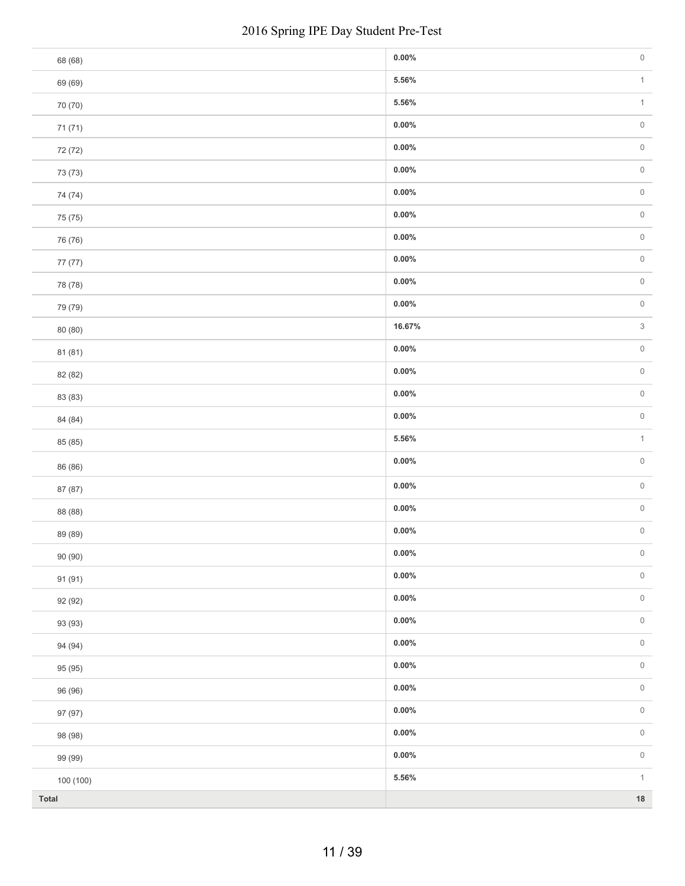|           | 2016 Spring IPE Day Student Pre-Test |  |
|-----------|--------------------------------------|--|
| 68 (68)   | $0.00\%$                             |  |
| 69 (69)   | $5.56\%$                             |  |
| 70 (70)   | $5.56\%$                             |  |
| 71 (71)   | $0.00\%$                             |  |
| 72 (72)   | $0.00\%$                             |  |
| 73 (73)   | $0.00\%$                             |  |
| 74 (74)   | $0.00\%$                             |  |
| 75 (75)   | $0.00\%$                             |  |
| 76 (76)   | $0.00\%$                             |  |
| 77 (77)   | $0.00\%$                             |  |
| 78 (78)   | $0.00\%$                             |  |
| 79 (79)   | $0.00\%$                             |  |
| 80 (80)   | 16.67%                               |  |
| 81 (81)   | $0.00\%$                             |  |
| 82 (82)   | $0.00\%$                             |  |
| 83 (83)   | $0.00\%$                             |  |
| 84 (84)   | $0.00\%$                             |  |
| 85 (85)   | $5.56\%$                             |  |
| 86 (86)   | $0.00\%$                             |  |
| 87 (87)   | $0.00\%$                             |  |
| 88 (88)   | $0.00\%$                             |  |
| 89 (89)   | $0.00\%$                             |  |
| 90 (90)   | $0.00\%$                             |  |
| 91 (91)   | $0.00\%$                             |  |
| 92 (92)   | $0.00\%$                             |  |
| 93 (93)   | $0.00\%$                             |  |
| 94 (94)   | $0.00\%$                             |  |
| 95 (95)   | $0.00\%$                             |  |
| 96 (96)   | $0.00\%$                             |  |
| 97 (97)   | $0.00\%$                             |  |
| 98 (98)   | $0.00\%$                             |  |
| 99 (99)   | $0.00\%$                             |  |
| 100 (100) | $5.56\%$                             |  |
| Total     |                                      |  |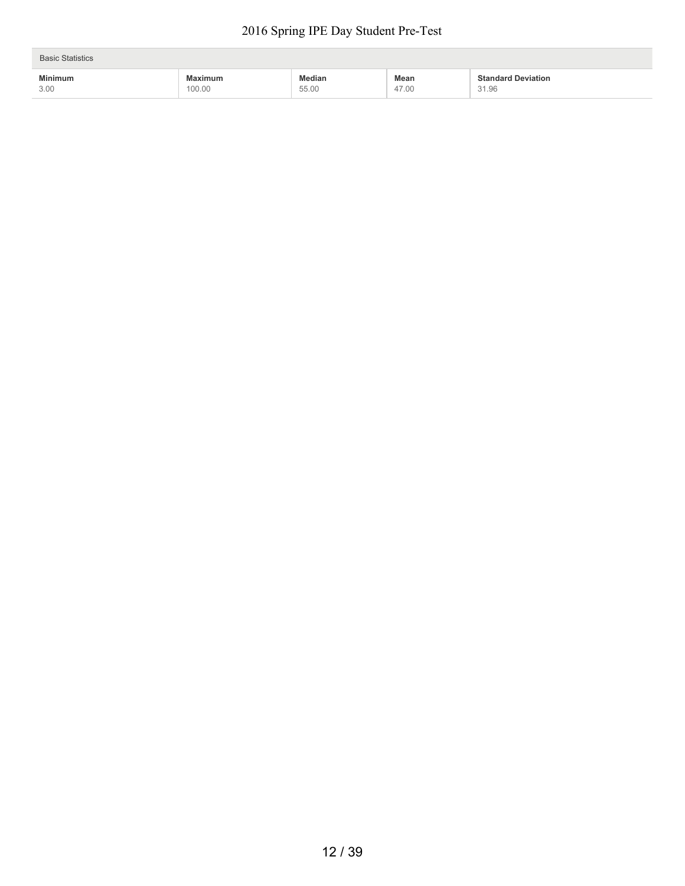| <b>Basic Statistics</b> |                          |                             |               |                                    |
|-------------------------|--------------------------|-----------------------------|---------------|------------------------------------|
| <b>Minimum</b><br>3.00  | <b>Maximum</b><br>100.00 | <b>Median</b><br>.<br>55.00 | Mean<br>47.00 | <b>Standard Deviation</b><br>31.96 |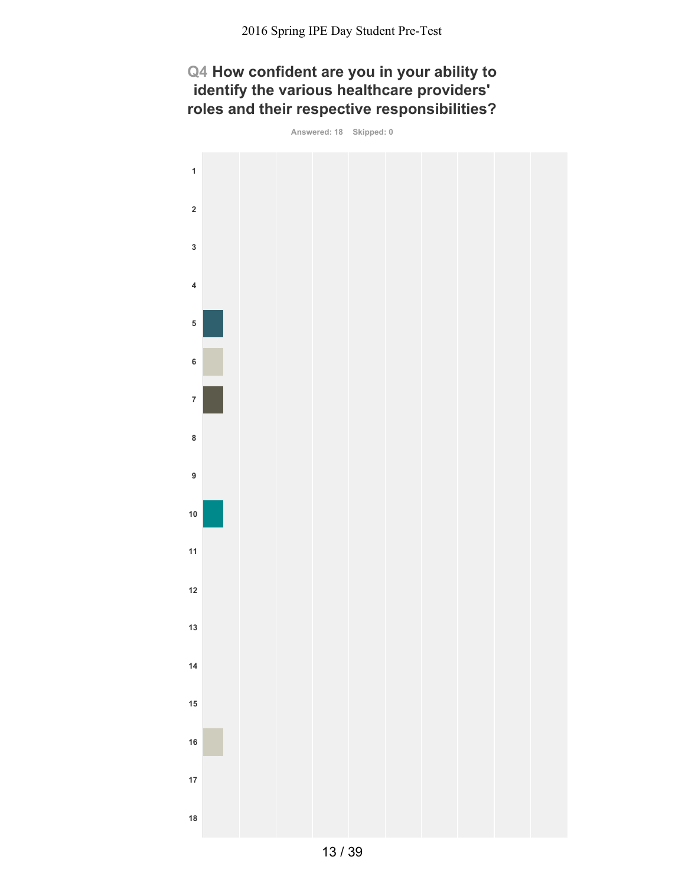## **Q4 How confident are you in your ability to identify the various healthcare providers' roles and their respective responsibilities?**

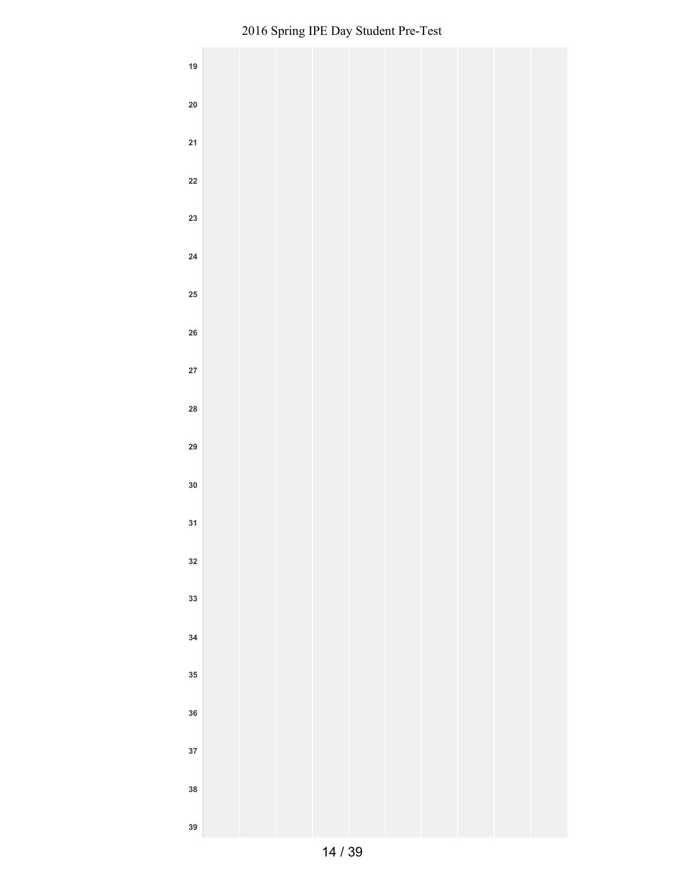| 19         |  |  |  |  |  |
|------------|--|--|--|--|--|
| ${\bf 20}$ |  |  |  |  |  |
| 21         |  |  |  |  |  |
| ${\bf 22}$ |  |  |  |  |  |
| 23         |  |  |  |  |  |
| ${\bf 24}$ |  |  |  |  |  |
| ${\bf 25}$ |  |  |  |  |  |
| ${\bf 26}$ |  |  |  |  |  |
| ${\bf 27}$ |  |  |  |  |  |
| 28         |  |  |  |  |  |
| 29         |  |  |  |  |  |
| $30\,$     |  |  |  |  |  |
| 31         |  |  |  |  |  |
| 32         |  |  |  |  |  |
| 33         |  |  |  |  |  |
| 34         |  |  |  |  |  |
| 35         |  |  |  |  |  |
| 36         |  |  |  |  |  |
| 37         |  |  |  |  |  |
| 38         |  |  |  |  |  |
| 39         |  |  |  |  |  |
|            |  |  |  |  |  |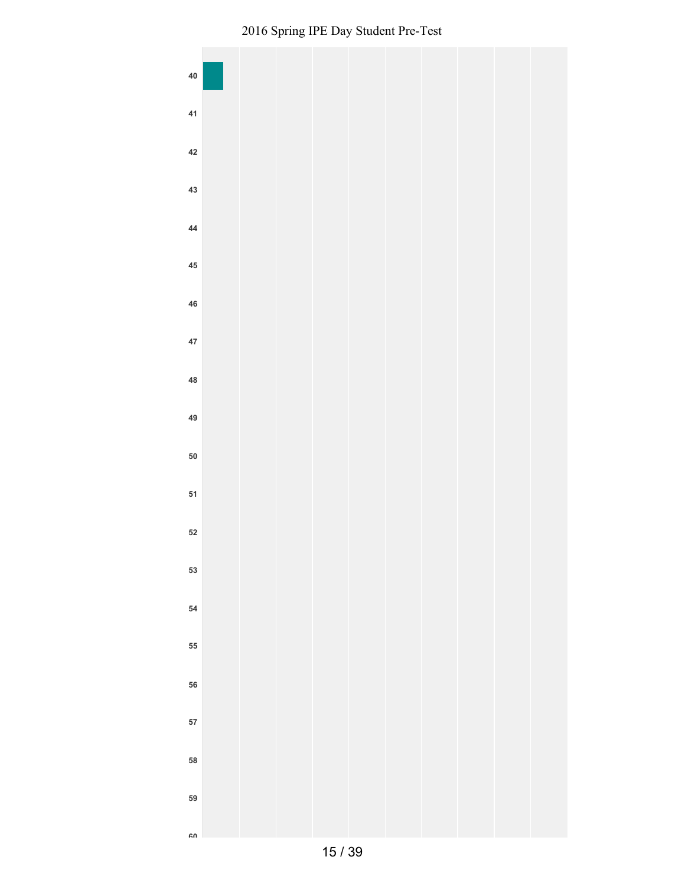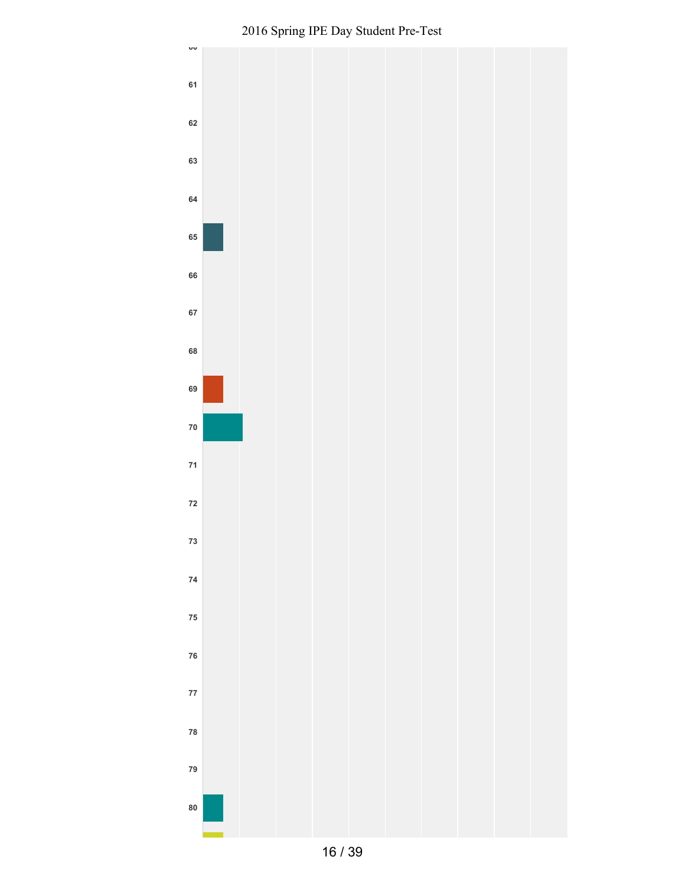

Spring IPE Day Student Pre-Test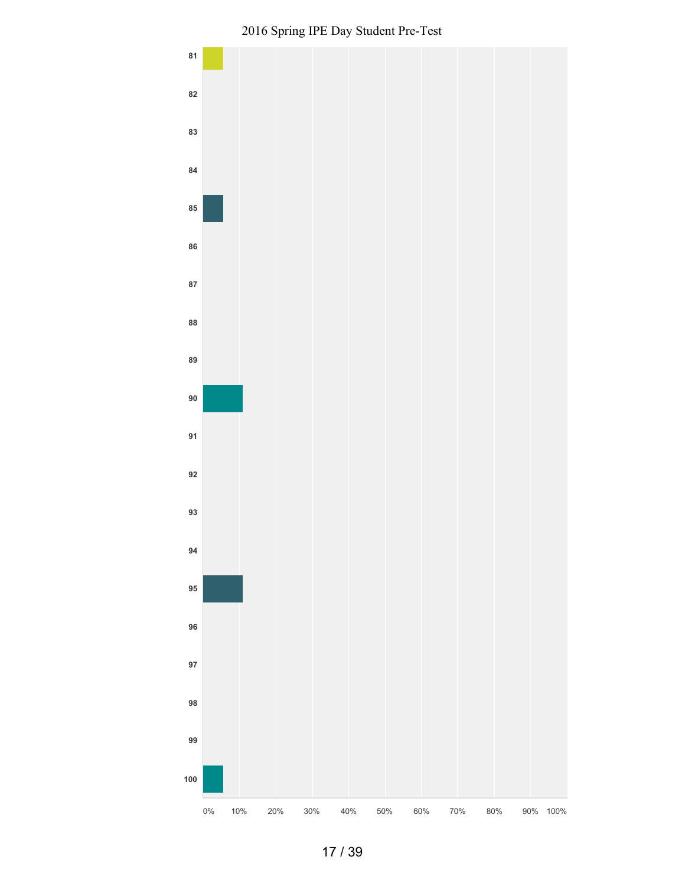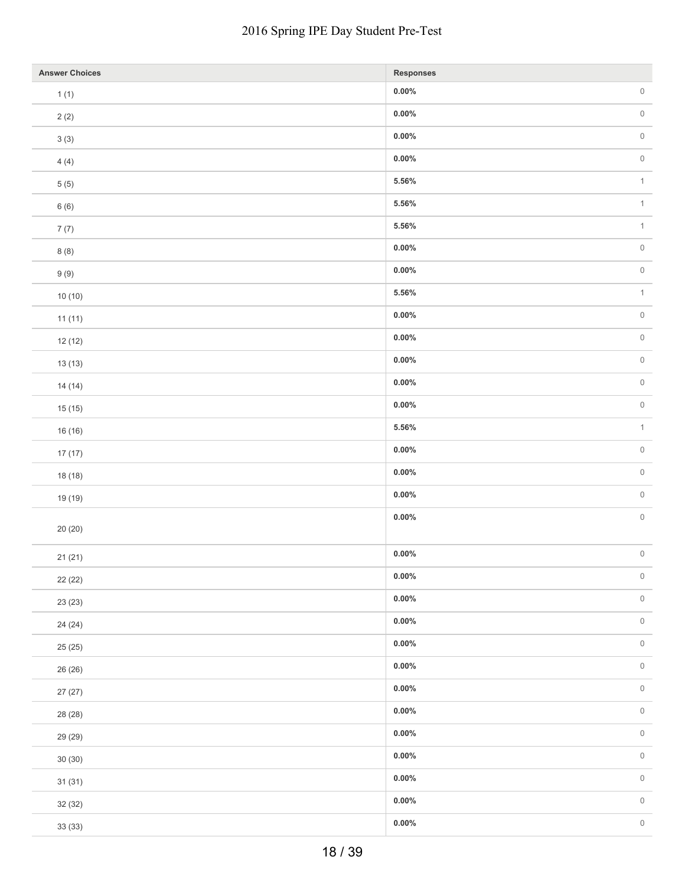| <b>Answer Choices</b> | Responses |                     |
|-----------------------|-----------|---------------------|
| 1(1)                  | $0.00\%$  | $\,0\,$             |
| 2(2)                  | $0.00\%$  | $\mathsf{O}\xspace$ |
| $3\ (3)$              | $0.00\%$  | $\,0\,$             |
| 4(4)                  | $0.00\%$  | $\,0\,$             |
| $5(5)$                | $5.56\%$  | $\mathbf{1}$        |
| 6(6)                  | $5.56\%$  | $\uparrow$          |
| 7(7)                  | $5.56\%$  | $\mathbf{1}$        |
| 8(8)                  | $0.00\%$  | $\mathsf{O}\xspace$ |
| 9(9)                  | $0.00\%$  | $\,0\,$             |
| 10(10)                | $5.56\%$  | $\mathbf{1}$        |
| 11(11)                | $0.00\%$  | $\,0\,$             |
| 12(12)                | $0.00\%$  | $\,0\,$             |
| 13(13)                | $0.00\%$  | $\,0\,$             |
| 14(14)                | $0.00\%$  | $\,0\,$             |
| 15(15)                | $0.00\%$  | $\,0\,$             |
| 16 (16)               | $5.56\%$  | $\uparrow$          |
| 17(17)                | $0.00\%$  | $\,0\,$             |
| 18 (18)               | $0.00\%$  | $\,0\,$             |
| 19 (19)               | $0.00\%$  | $\,0\,$             |
|                       | $0.00\%$  | $\,0\,$             |
| 20(20)                |           |                     |
| 21(21)                | $0.00\%$  | $\,0\,$             |
| 22 (22)               | $0.00\%$  | $\,0\,$             |
| 23 (23)               | $0.00\%$  | $\,0\,$             |
| 24 (24)               | $0.00\%$  | $\,0\,$             |
| 25 (25)               | $0.00\%$  | $\,0\,$             |
| 26 (26)               | $0.00\%$  | $\,0\,$             |
| 27(27)                | $0.00\%$  | $\,0\,$             |
| 28 (28)               | $0.00\%$  | $\mathsf{O}\xspace$ |
| 29 (29)               | $0.00\%$  | $\,0\,$             |
| 30(30)                | $0.00\%$  | $\,0\,$             |
| 31(31)                | $0.00\%$  | $\,0\,$             |
| 32 (32)               | $0.00\%$  | $\,0\,$             |
| 33 (33)               | $0.00\%$  | $\,0\,$             |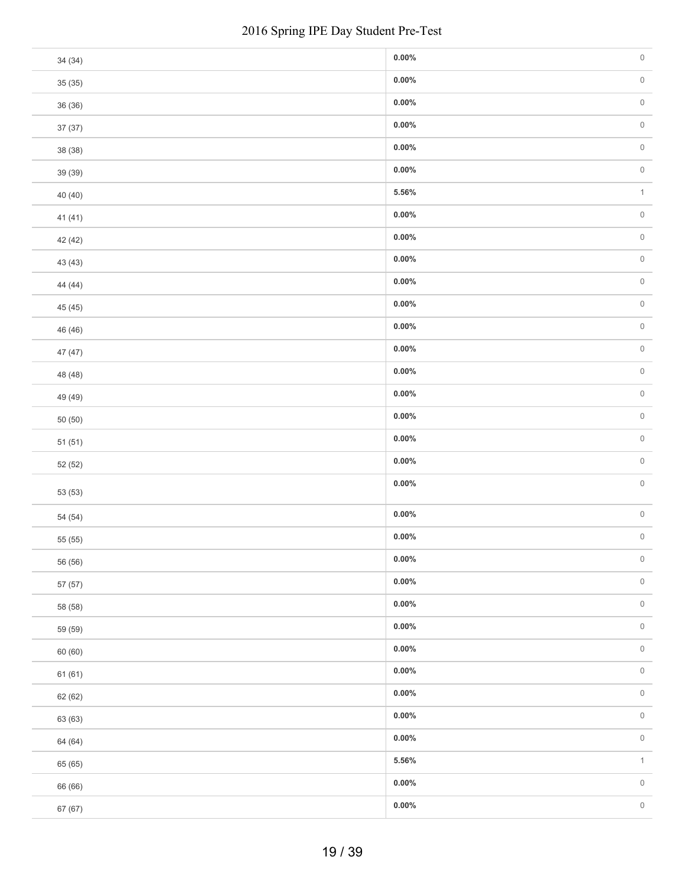|         | 2016 Spring IPE Day Student Pre-Test |  |
|---------|--------------------------------------|--|
| 34 (34) | $0.00\%$                             |  |
| 35(35)  | $0.00\%$                             |  |
| 36 (36) | $0.00\%$                             |  |
| 37 (37) | $0.00\%$                             |  |
| 38 (38) | $0.00\%$                             |  |
| 39 (39) | $0.00\%$                             |  |
| 40 (40) | $5.56\%$                             |  |
| 41 (41) | $0.00\%$                             |  |
| 42 (42) | $0.00\%$                             |  |
| 43 (43) | $0.00\%$                             |  |
| 44 (44) | $0.00\%$                             |  |
| 45 (45) | $0.00\%$                             |  |
| 46 (46) | $0.00\%$                             |  |
| 47 (47) | $0.00\%$                             |  |
| 48 (48) | $0.00\%$                             |  |
| 49 (49) | $0.00\%$                             |  |
| 50(50)  | $0.00\%$                             |  |
| 51(51)  | $0.00\%$                             |  |
| 52 (52) | $0.00\%$                             |  |
| 53 (53) | $0.00\%$                             |  |
| 54 (54) | $0.00\%$                             |  |
| 55 (55) | $0.00\%$                             |  |
| 56 (56) | $0.00\%$                             |  |
| 57 (57) | $0.00\%$                             |  |
| 58 (58) | $0.00\%$                             |  |
| 59 (59) | $0.00\%$                             |  |
| 60 (60) | $0.00\%$                             |  |
| 61(61)  | $0.00\%$                             |  |
| 62 (62) | $0.00\%$                             |  |
| 63 (63) | $0.00\%$                             |  |
| 64 (64) | $0.00\%$                             |  |
| 65 (65) | $5.56\%$                             |  |
| 66 (66) | $0.00\%$                             |  |
| 67 (67) | $0.00\%$                             |  |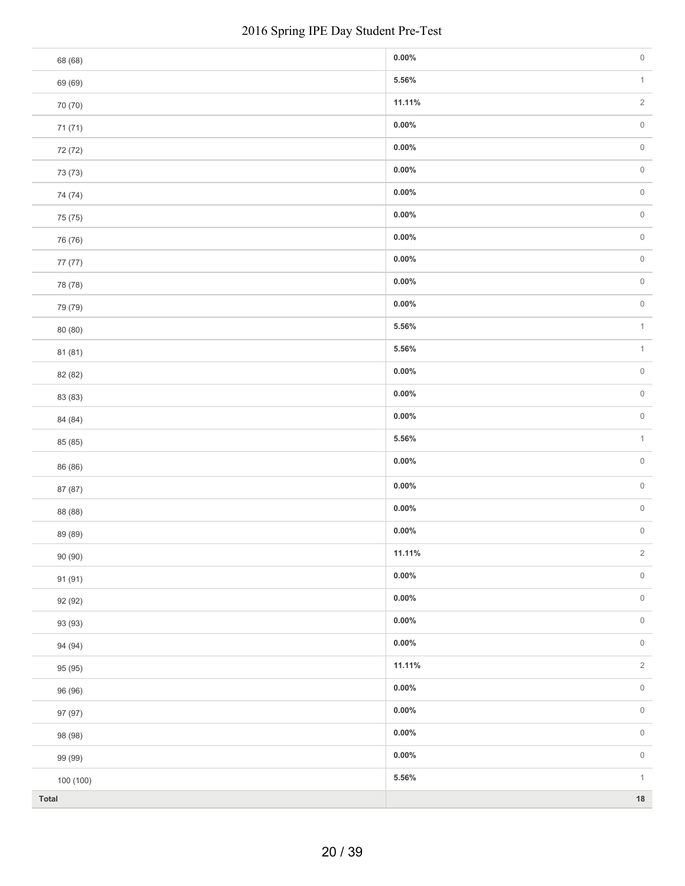|           | 2016 Spring IPE Day Student Pre-Test |  |
|-----------|--------------------------------------|--|
| 68 (68)   | $0.00\%$                             |  |
| 69 (69)   | $5.56\%$                             |  |
| 70 (70)   | 11.11%                               |  |
| 71 (71)   | $0.00\%$                             |  |
| 72 (72)   | $0.00\%$                             |  |
| 73 (73)   | $0.00\%$                             |  |
| 74 (74)   | $0.00\%$                             |  |
| 75 (75)   | $0.00\%$                             |  |
| 76 (76)   | $0.00\%$                             |  |
| 77 (77)   | $0.00\%$                             |  |
| 78 (78)   | $0.00\%$                             |  |
| 79 (79)   | $0.00\%$                             |  |
| 80 (80)   | 5.56%                                |  |
| 81 (81)   | $5.56\%$                             |  |
| 82 (82)   | $0.00\%$                             |  |
| 83 (83)   | $0.00\%$                             |  |
| 84 (84)   | $0.00\%$                             |  |
| 85 (85)   | $5.56\%$                             |  |
| 86 (86)   | $0.00\%$                             |  |
| 87 (87)   | $0.00\%$                             |  |
| 88 (88)   | $0.00\%$                             |  |
| 89 (89)   | $0.00\%$                             |  |
| 90 (90)   | 11.11%                               |  |
| 91 (91)   | $0.00\%$                             |  |
| 92 (92)   | $0.00\%$                             |  |
| 93 (93)   | $0.00\%$                             |  |
| 94 (94)   | $0.00\%$                             |  |
| 95 (95)   | 11.11%                               |  |
| 96 (96)   | $0.00\%$                             |  |
| 97 (97)   | $0.00\%$                             |  |
| 98 (98)   | $0.00\%$                             |  |
| 99 (99)   | $0.00\%$                             |  |
| 100 (100) | $5.56\%$                             |  |
| Total     |                                      |  |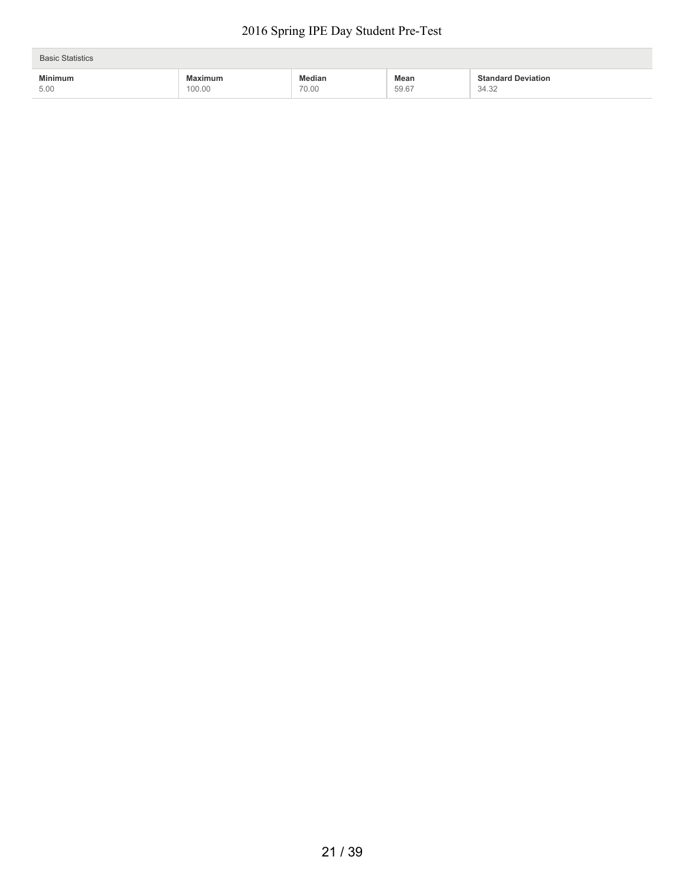| <b>Basic Statistics</b> |         |               |       |                           |  |
|-------------------------|---------|---------------|-------|---------------------------|--|
| <b>Minimum</b>          | Maximum | <b>Median</b> | Mean  | <b>Standard Deviation</b> |  |
| 5.00                    | 100.00  | 70.00         | 59.67 | 34.32                     |  |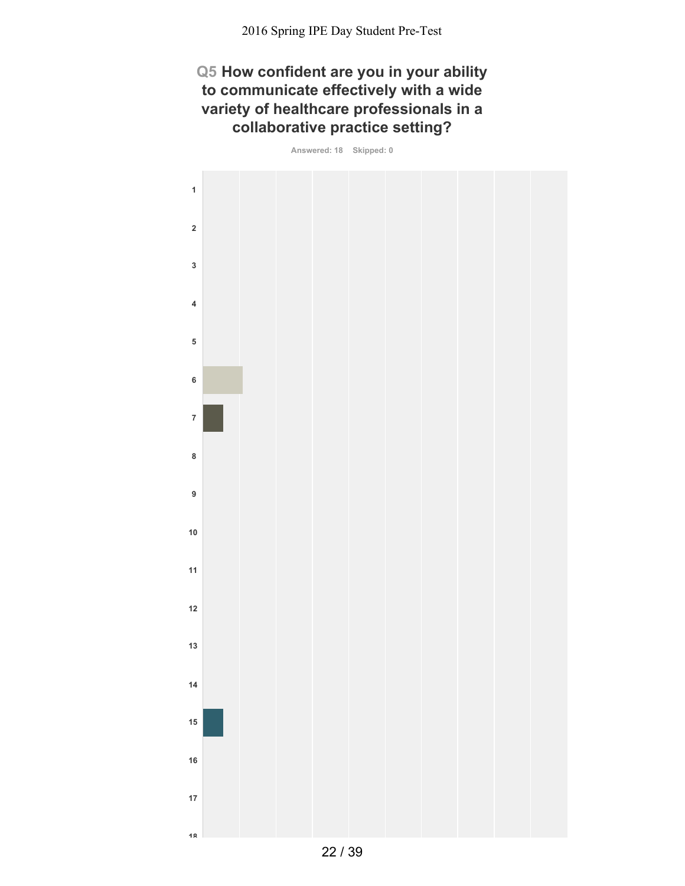## **Q5 How confident are you in your ability to communicate effectively with a wide variety of healthcare professionals in a collaborative practice setting?**

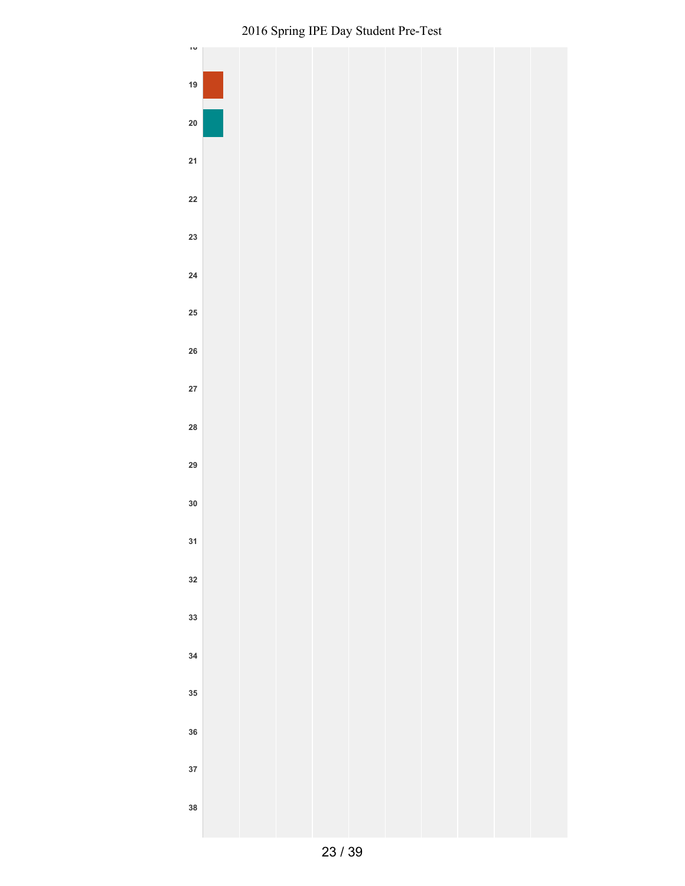

Spring IPE Day Student Pre-Test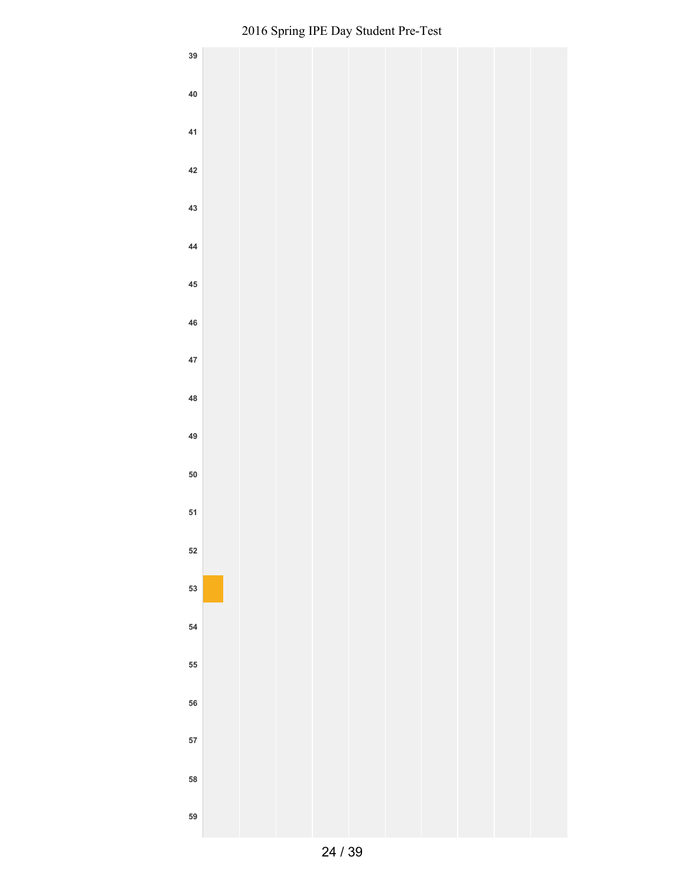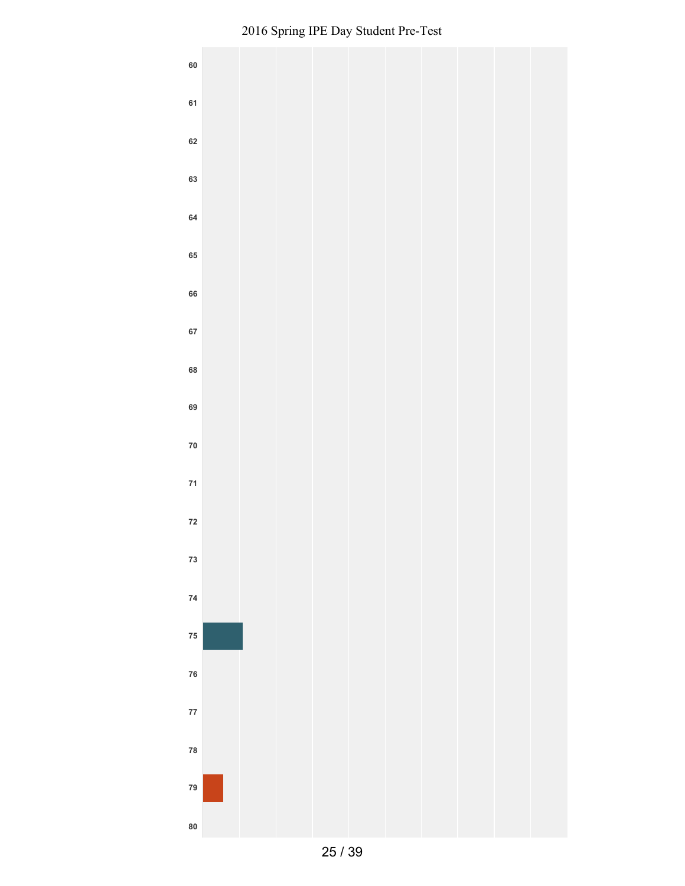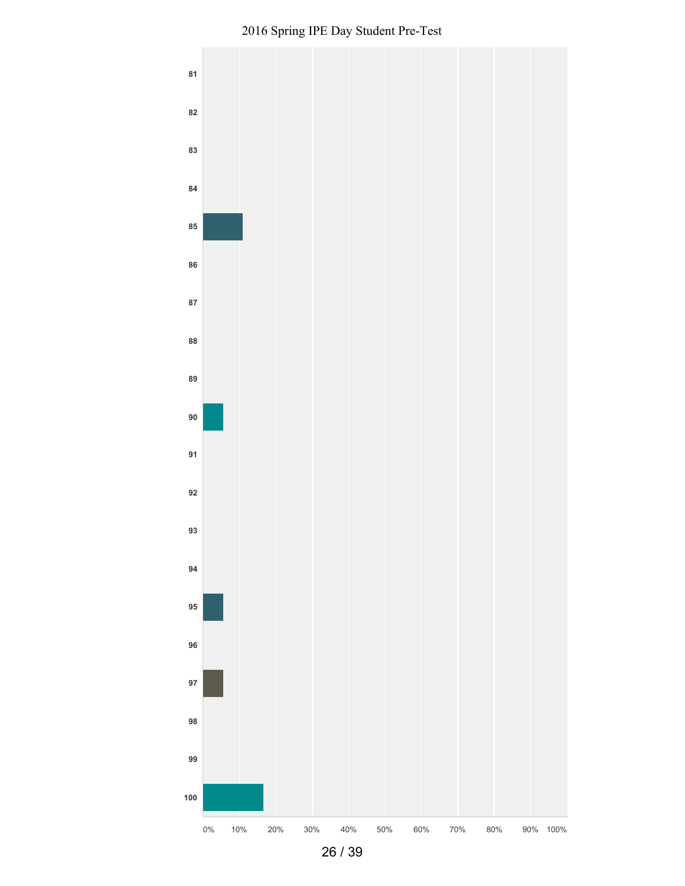

Spring IPE Day Student Pre-Test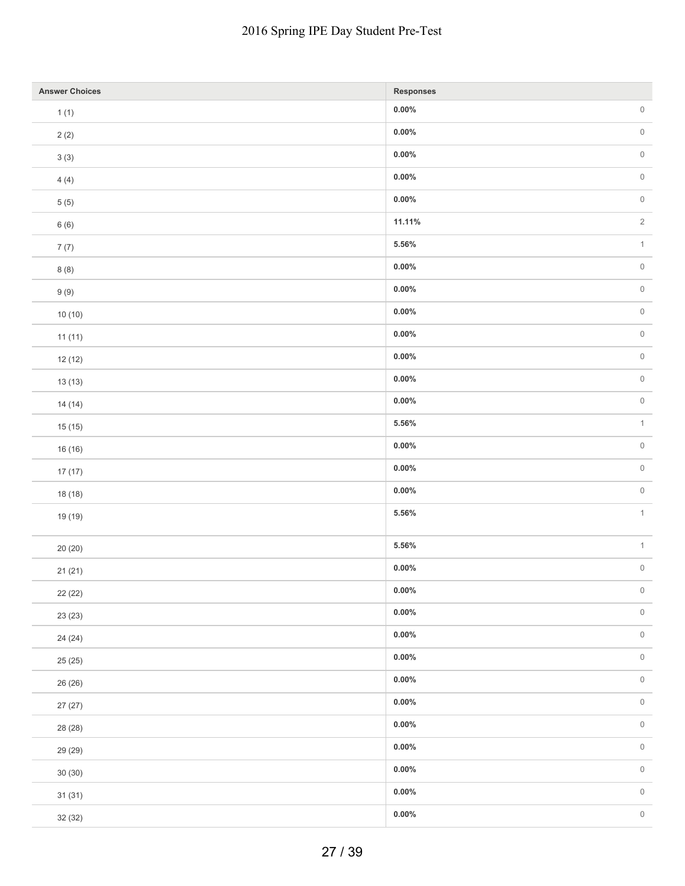|                       | 2016 Spring IPE Day Student Pre-Test |                |
|-----------------------|--------------------------------------|----------------|
| <b>Answer Choices</b> | <b>Responses</b>                     |                |
| 1(1)                  | $0.00\%$                             | $\,0\,$        |
| 2(2)                  | $0.00\%$                             | $\,0\,$        |
| $3\ (3)$              | $0.00\%$                             | $\,0\,$        |
| 4(4)                  | $0.00\%$                             | $\,0\,$        |
| $5(5)$                | $0.00\%$                             | $\,0\,$        |
| 6(6)                  | 11.11%                               | $\overline{2}$ |
| 7(7)                  | $5.56\%$                             | $\mathbf{1}$   |
| 8(8)                  | $0.00\%$                             | $\,0\,$        |
| 9(9)                  | $0.00\%$                             | $\,0\,$        |
| 10(10)                | $0.00\%$                             | $\,0\,$        |
| 11(11)                | $0.00\%$                             | $\,0\,$        |
| 12(12)                | $0.00\%$                             | $\,0\,$        |
| 13(13)                | $0.00\%$                             | $\,0\,$        |
| 14(14)                | $0.00\%$                             | $\,0\,$        |
| 15(15)                | $5.56\%$                             | $\mathbf{1}$   |
| 16 (16)               | $0.00\%$                             | $\,0\,$        |
| 17(17)                | $0.00\%$                             | $\,0\,$        |
| 18 (18)               | $0.00\%$                             | $\,0\,$        |
| 19 (19)               | 5.56%                                | $\mathbf{1}$   |
|                       |                                      |                |
| 20 (20)               | $5.56\%$                             | $\mathbf{1}$   |
| 21(21)                | $0.00\%$                             | $\,0\,$        |
| 22 (22)               | $0.00\%$                             | $\,0\,$        |
| 23 (23)               | $0.00\%$                             | $\,0\,$        |
| 24 (24)               | $0.00\%$                             | $\,0\,$        |
| 25 (25)               | $0.00\%$                             | $\,0\,$        |
| 26 (26)               | $0.00\%$                             | $\,0\,$        |
| 27(27)                | $0.00\%$                             | $\,0\,$        |
| 28 (28)               | $0.00\%$                             | $\,0\,$        |
| 29 (29)               | $0.00\%$                             | $\,0\,$        |
| 30(30)                | $0.00\%$                             | $\,0\,$        |
| 31(31)                | $0.00\%$                             | $\,0\,$        |
| 32 (32)               | $0.00\%$                             | $\,0\,$        |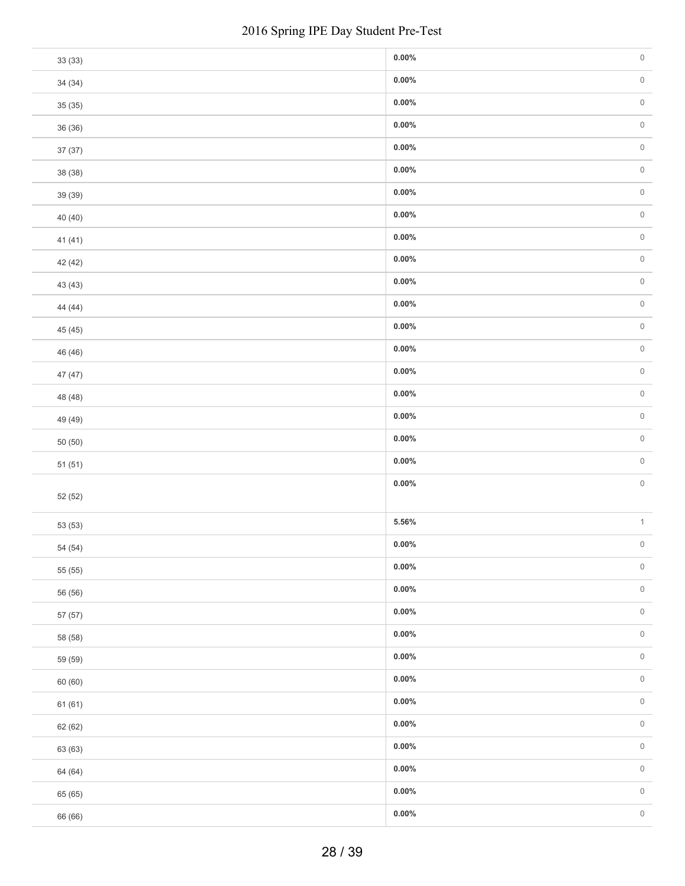|         | 2016 Spring IPE Day Student Pre-Test |          |              |
|---------|--------------------------------------|----------|--------------|
| 33 (33) |                                      | $0.00\%$ | $\,0\,$      |
| 34(34)  |                                      | $0.00\%$ | $\,0\,$      |
| 35(35)  |                                      | $0.00\%$ | $\,0\,$      |
| 36 (36) |                                      | $0.00\%$ | $\,0\,$      |
| 37(37)  |                                      | $0.00\%$ | $\,0\,$      |
| 38 (38) |                                      | $0.00\%$ | $\,0\,$      |
| 39 (39) |                                      | $0.00\%$ | $\,0\,$      |
| 40 (40) |                                      | $0.00\%$ | $\,0\,$      |
| 41 (41) |                                      | $0.00\%$ | $\,0\,$      |
| 42 (42) |                                      | $0.00\%$ | $\,0\,$      |
| 43 (43) |                                      | $0.00\%$ | $\,0\,$      |
| 44 (44) |                                      | $0.00\%$ | $\,0\,$      |
| 45 (45) |                                      | $0.00\%$ | $\,0\,$      |
| 46 (46) |                                      | $0.00\%$ | $\,0\,$      |
| 47 (47) |                                      | $0.00\%$ | $\,0\,$      |
| 48 (48) |                                      | $0.00\%$ | $\,0\,$      |
| 49 (49) |                                      | $0.00\%$ | $\,0\,$      |
| 50(50)  |                                      | $0.00\%$ | $\,0\,$      |
| 51(51)  |                                      | $0.00\%$ | $\mathbb O$  |
| 52 (52) |                                      | $0.00\%$ | $\,0\,$      |
| 53 (53) |                                      | $5.56\%$ | $\,1\,$      |
| 54 (54) |                                      | $0.00\%$ | $\,0\,$      |
| 55 (55) |                                      | $0.00\%$ | $\mathsf{O}$ |
| 56 (56) |                                      | $0.00\%$ | $\,0\,$      |
| 57 (57) |                                      | $0.00\%$ | $\,0\,$      |
| 58 (58) |                                      | $0.00\%$ | $\,0\,$      |
| 59 (59) |                                      | $0.00\%$ | $\,0\,$      |
| 60 (60) |                                      | $0.00\%$ | $\,0\,$      |
| 61 (61) |                                      | $0.00\%$ | $\,0\,$      |
| 62 (62) |                                      | $0.00\%$ | $\,0\,$      |
| 63 (63) |                                      | $0.00\%$ | $\,0\,$      |
| 64 (64) |                                      | $0.00\%$ | $\,0\,$      |
| 65 (65) |                                      | $0.00\%$ | $\,0\,$      |
| 66 (66) |                                      | $0.00\%$ | $\,0\,$      |
|         | 28 / 39                              |          |              |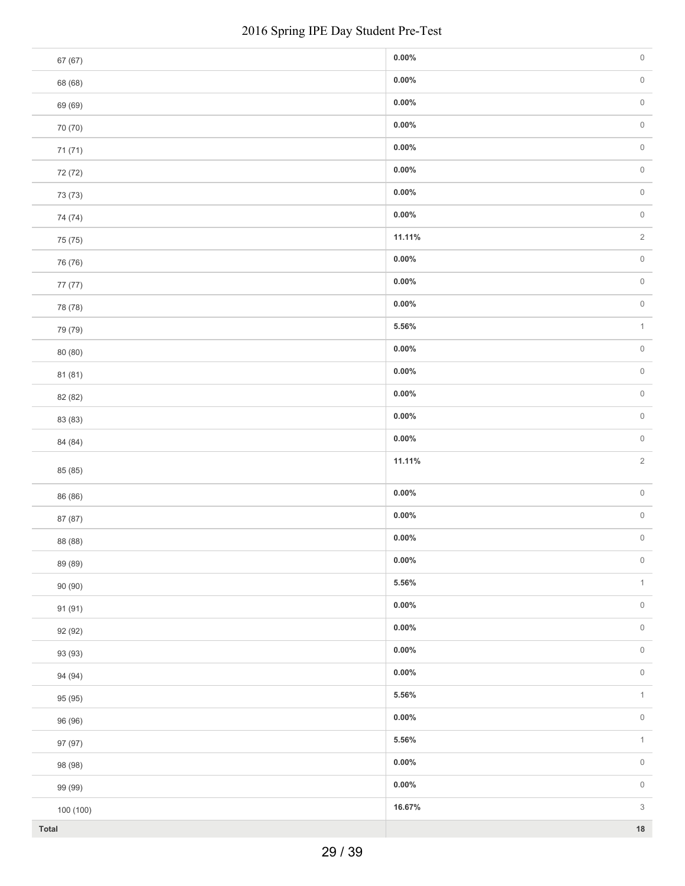|           | 2016 Spring IPE Day Student Pre-Test |          |                           |
|-----------|--------------------------------------|----------|---------------------------|
| 67 (67)   |                                      | $0.00\%$ | $\mathsf{O}\xspace$       |
| 68 (68)   |                                      | $0.00\%$ | $\mathsf{O}\xspace$       |
| 69 (69)   |                                      | $0.00\%$ | $\mathsf{O}\xspace$       |
| 70 (70)   |                                      | $0.00\%$ | $\mathsf{O}\xspace$       |
| 71 (71)   |                                      | $0.00\%$ | $\mathsf{O}\xspace$       |
| 72 (72)   |                                      | $0.00\%$ | $\mathsf{O}\xspace$       |
| 73 (73)   |                                      | $0.00\%$ | $\mathsf{O}\xspace$       |
| 74 (74)   |                                      | $0.00\%$ | $\mathsf{O}\xspace$       |
| 75 (75)   |                                      | 11.11%   | $\sqrt{2}$                |
| 76 (76)   |                                      | $0.00\%$ | $\mathsf{O}\xspace$       |
| 77 (77)   |                                      | $0.00\%$ | $\mathsf{O}\xspace$       |
| 78 (78)   |                                      | $0.00\%$ | $\mathsf{O}\xspace$       |
| 79 (79)   |                                      | $5.56\%$ | $\mathbf{1}$              |
| 80 (80)   |                                      | $0.00\%$ | $\mathsf{O}\xspace$       |
| 81 (81)   |                                      | $0.00\%$ | $\mathsf{O}\xspace$       |
| 82 (82)   |                                      | $0.00\%$ | $\mathsf{O}\xspace$       |
| 83 (83)   |                                      | $0.00\%$ | $\,0\,$                   |
| 84 (84)   |                                      | $0.00\%$ | $\mathsf{O}\xspace$       |
| 85 (85)   |                                      | 11.11%   | $\overline{2}$            |
| 86 (86)   |                                      | $0.00\%$ | $\mathsf{O}\xspace$       |
| 87 (87)   |                                      | $0.00\%$ | $\,0\,$                   |
| 88 (88)   |                                      | $0.00\%$ | $\mathsf{O}\xspace$       |
| 89 (89)   |                                      | $0.00\%$ | $\mathsf{O}\xspace$       |
| 90 (90)   |                                      | $5.56\%$ | $\uparrow$                |
| 91 (91)   |                                      | $0.00\%$ | $\mathsf{O}\xspace$       |
| 92 (92)   |                                      | $0.00\%$ | $\mathsf{O}\xspace$       |
| 93 (93)   |                                      | $0.00\%$ | $\mathsf{O}\xspace$       |
| 94 (94)   |                                      | $0.00\%$ | $\mathsf{O}\xspace$       |
| 95 (95)   |                                      | $5.56\%$ | $\uparrow$                |
| 96 (96)   |                                      | $0.00\%$ | $\mathsf{O}\xspace$       |
| 97 (97)   |                                      | $5.56\%$ | $\uparrow$                |
| 98 (98)   |                                      | $0.00\%$ | $\mathsf{O}\xspace$       |
| 99 (99)   |                                      | $0.00\%$ | $\,0\,$                   |
| 100 (100) |                                      | 16.67%   | $\ensuremath{\mathsf{3}}$ |
| Total     |                                      |          | $18\,$                    |
|           | 29 / 39                              |          |                           |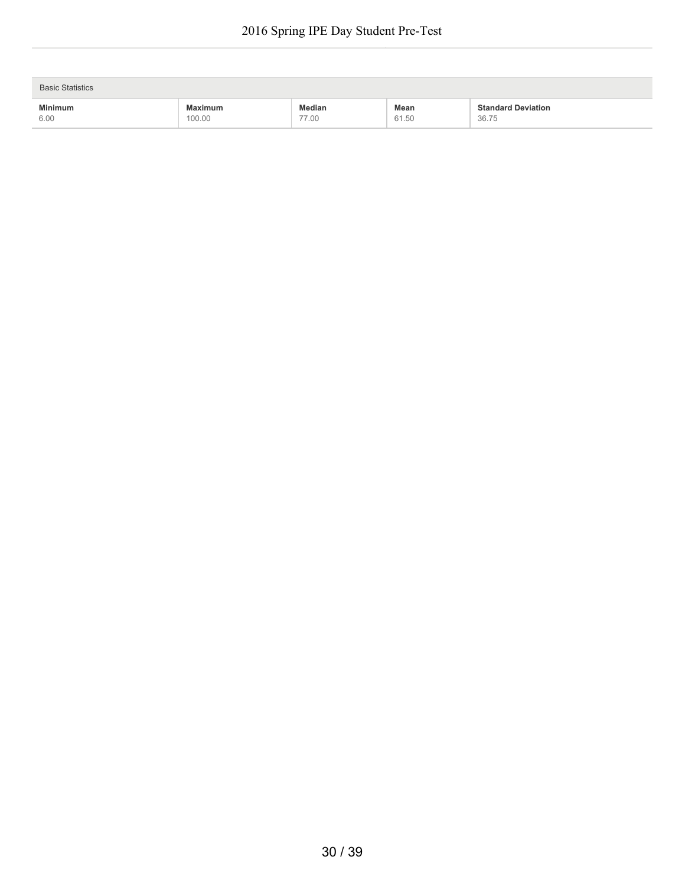| <b>Basic Statistics</b> |                |        |       |                           |  |
|-------------------------|----------------|--------|-------|---------------------------|--|
| <b>Minimum</b>          | <b>Maximum</b> | Median | Mean  | <b>Standard Deviation</b> |  |
| 6.00                    | 100.00         | 77.00  | 61.50 | 36.75                     |  |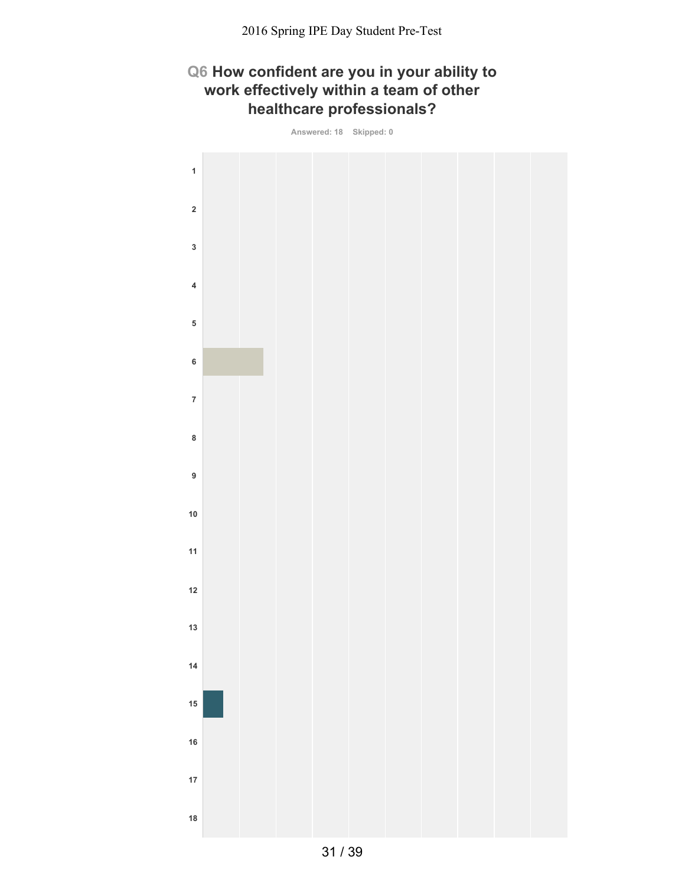## **Q6 How confident are you in your ability to work effectively within a team of other healthcare professionals?**

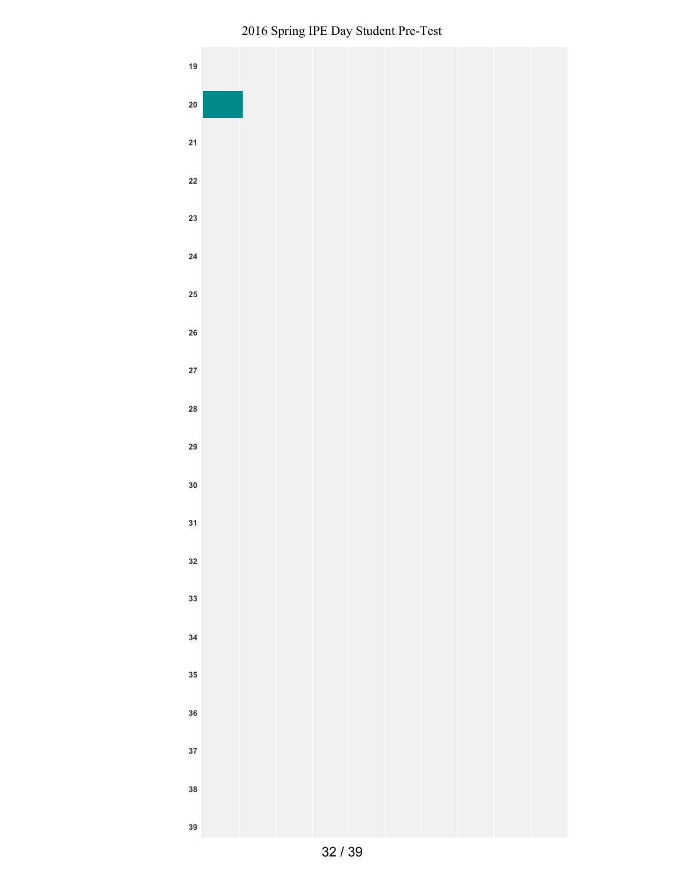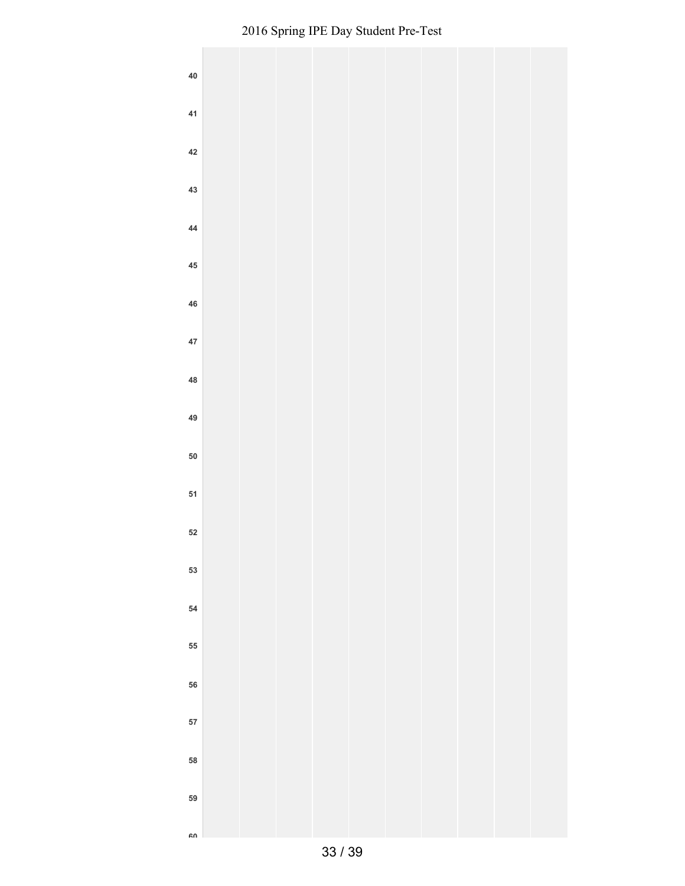| ${\bf 40}$ |  |  |  |  |  |
|------------|--|--|--|--|--|
| 41         |  |  |  |  |  |
| $42\,$     |  |  |  |  |  |
| 43         |  |  |  |  |  |
| 44         |  |  |  |  |  |
| $\bf 45$   |  |  |  |  |  |
| ${\bf 46}$ |  |  |  |  |  |
| 47         |  |  |  |  |  |
| 48<br>49   |  |  |  |  |  |
| ${\bf 50}$ |  |  |  |  |  |
| 51         |  |  |  |  |  |
| 52         |  |  |  |  |  |
| 53         |  |  |  |  |  |
| ${\bf 54}$ |  |  |  |  |  |
| 55         |  |  |  |  |  |
| 56         |  |  |  |  |  |
| 57         |  |  |  |  |  |
| 58         |  |  |  |  |  |
| 59         |  |  |  |  |  |
| ۵n         |  |  |  |  |  |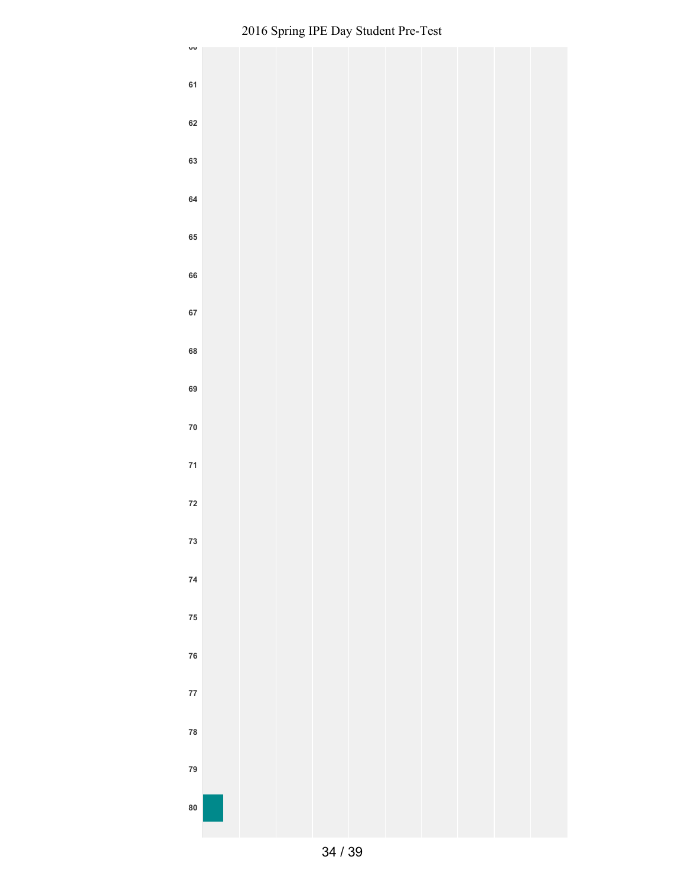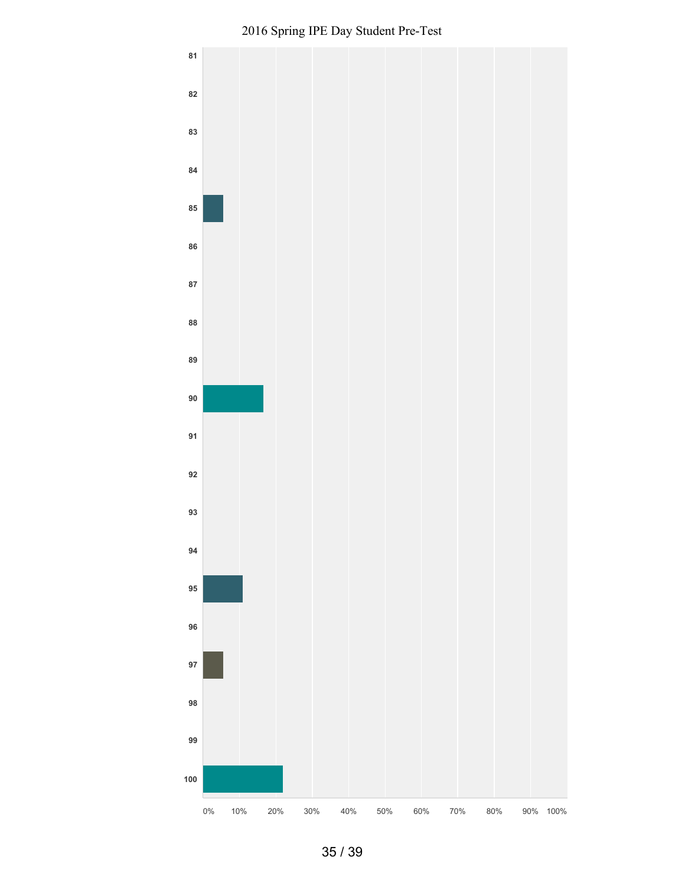

Spring IPE Day Student Pre-Test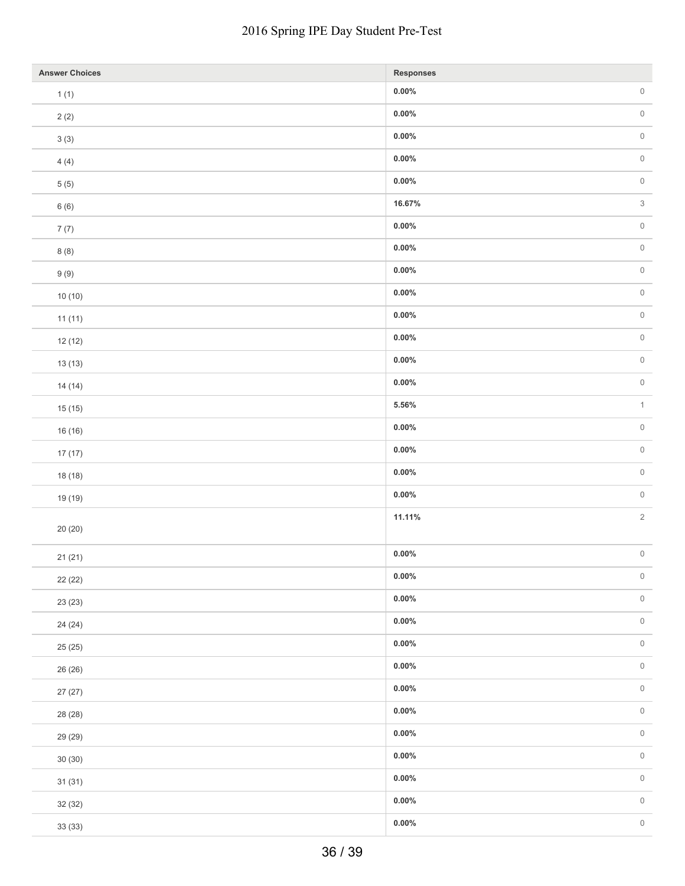| <b>Answer Choices</b> | Responses |                           |
|-----------------------|-----------|---------------------------|
| 1(1)                  | $0.00\%$  | $\,0\,$                   |
| 2(2)                  | $0.00\%$  | $\mathsf{O}\xspace$       |
| $3\ (3)$              | $0.00\%$  | $\,0\,$                   |
| 4(4)                  | $0.00\%$  | $\,0\,$                   |
| $5(5)$                | $0.00\%$  | $\,0\,$                   |
| 6(6)                  | 16.67%    | $\ensuremath{\mathsf{3}}$ |
| 7(7)                  | $0.00\%$  | $\,0\,$                   |
| 8(8)                  | $0.00\%$  | $\,0\,$                   |
| 9(9)                  | $0.00\%$  | $\,0\,$                   |
| 10(10)                | $0.00\%$  | $\,0\,$                   |
| 11(11)                | $0.00\%$  | $\,0\,$                   |
| 12(12)                | $0.00\%$  | $\,0\,$                   |
| 13(13)                | $0.00\%$  | $\,0\,$                   |
| 14(14)                | $0.00\%$  | $\,0\,$                   |
| 15(15)                | $5.56\%$  | $\mathbf{1}$              |
| 16 (16)               | $0.00\%$  | $\,0\,$                   |
| 17(17)                | $0.00\%$  | $\,0\,$                   |
| 18 (18)               | $0.00\%$  | $\,0\,$                   |
| 19 (19)               | $0.00\%$  | $\,0\,$                   |
|                       | 11.11%    | $\sqrt{2}$                |
| 20(20)                |           |                           |
| 21(21)                | $0.00\%$  | $\,0\,$                   |
| 22 (22)               | $0.00\%$  | $\,0\,$                   |
| 23 (23)               | $0.00\%$  | $\,0\,$                   |
| 24 (24)               | $0.00\%$  | $\,0\,$                   |
| 25 (25)               | $0.00\%$  | $\,0\,$                   |
| 26 (26)               | $0.00\%$  | $\,0\,$                   |
| 27(27)                | $0.00\%$  | $\,0\,$                   |
| 28 (28)               | $0.00\%$  |                           |
| 29 (29)               | $0.00\%$  | $\,0\,$                   |
| 30(30)                | $0.00\%$  | $\,0\,$                   |
| 31(31)                | $0.00\%$  | $\,0\,$                   |
| 32 (32)               | $0.00\%$  | $\,0\,$                   |
| 33 (33)               | $0.00\%$  | $\,0\,$                   |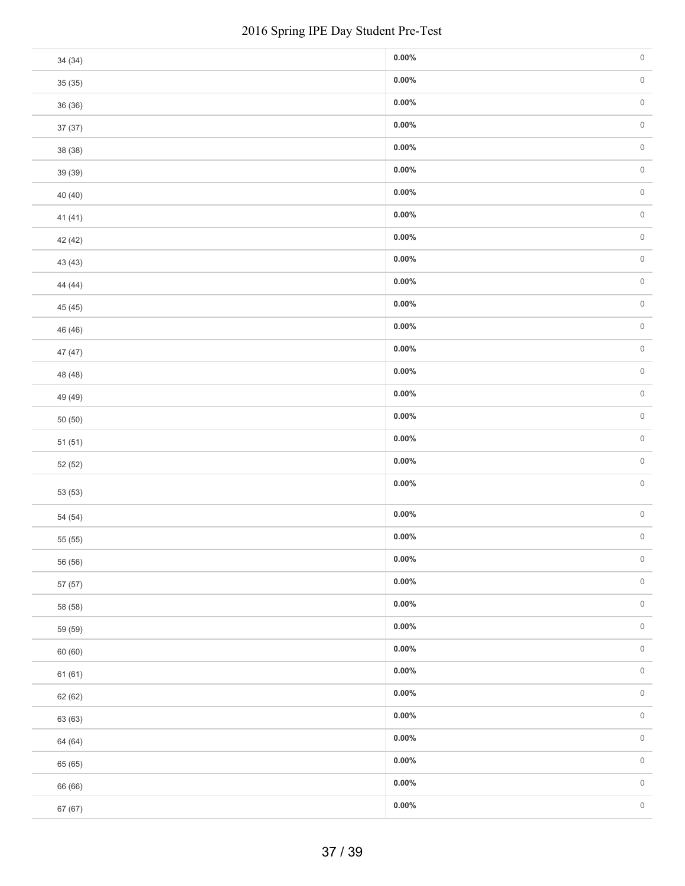|         | 2016 Spring IPE Day Student Pre-Test |  |
|---------|--------------------------------------|--|
| 34 (34) | $0.00\%$                             |  |
| 35(35)  | $0.00\%$                             |  |
| 36 (36) | $0.00\%$                             |  |
| 37 (37) | $0.00\%$                             |  |
| 38 (38) | $0.00\%$                             |  |
| 39 (39) | $0.00\%$                             |  |
| 40 (40) | $0.00\%$                             |  |
| 41 (41) | $0.00\%$                             |  |
| 42 (42) | $0.00\%$                             |  |
| 43 (43) | $0.00\%$                             |  |
| 44 (44) | $0.00\%$                             |  |
| 45 (45) | $0.00\%$                             |  |
| 46 (46) | $0.00\%$                             |  |
| 47 (47) | $0.00\%$                             |  |
| 48 (48) | $0.00\%$                             |  |
| 49 (49) | $0.00\%$                             |  |
| 50(50)  | $0.00\%$                             |  |
| 51(51)  | $0.00\%$                             |  |
| 52 (52) | $0.00\%$                             |  |
| 53 (53) | $0.00\%$                             |  |
| 54 (54) | $0.00\%$                             |  |
| 55 (55) | $0.00\%$                             |  |
| 56 (56) | $0.00\%$                             |  |
| 57 (57) | $0.00\%$                             |  |
| 58 (58) | $0.00\%$                             |  |
| 59 (59) | $0.00\%$                             |  |
| 60 (60) | $0.00\%$                             |  |
| 61(61)  | $0.00\%$                             |  |
| 62 (62) | $0.00\%$                             |  |
| 63 (63) | $0.00\%$                             |  |
| 64 (64) | $0.00\%$                             |  |
| 65 (65) | $0.00\%$                             |  |
| 66 (66) | $0.00\%$                             |  |
| 67 (67) | $0.00\%$                             |  |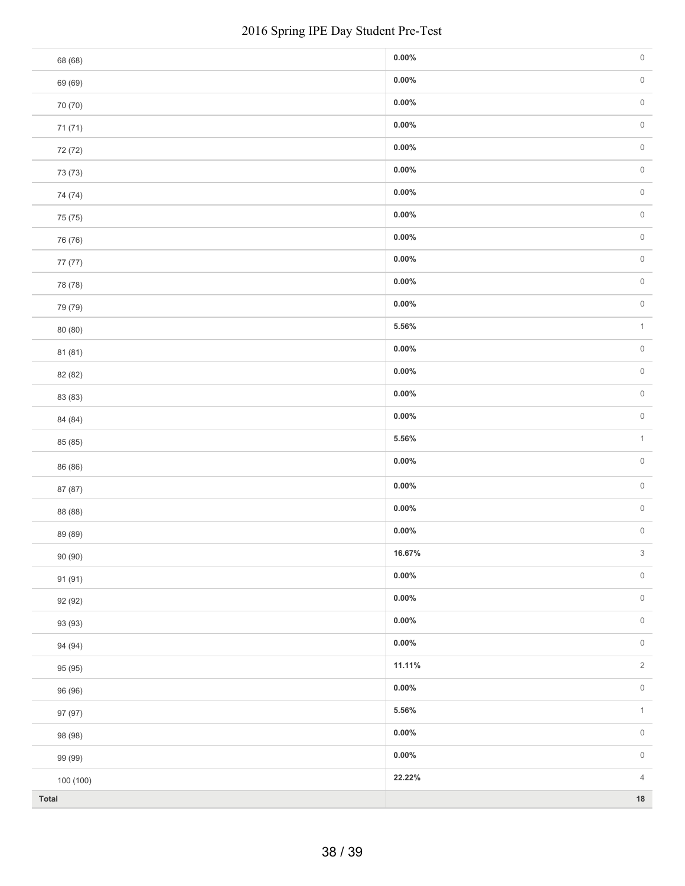| 2016 Spring IPE Day Student Pre-Test |          |                     |  |
|--------------------------------------|----------|---------------------|--|
| 68 (68)                              | $0.00\%$ | $\mathsf{O}\xspace$ |  |
| 69 (69)                              | $0.00\%$ | $\mathsf{O}\xspace$ |  |
| 70 (70)                              | $0.00\%$ | $\mathsf{O}\xspace$ |  |
| 71 (71)                              | $0.00\%$ | $\mathsf{O}\xspace$ |  |
| 72 (72)                              | $0.00\%$ | $\,0\,$             |  |
| 73 (73)                              | $0.00\%$ | $\mathbb O$         |  |
| 74 (74)                              | $0.00\%$ | $\mathsf{O}\xspace$ |  |
| 75 (75)                              | $0.00\%$ | $\,0\,$             |  |
| 76 (76)                              | $0.00\%$ | $\mathbb O$         |  |
| 77 (77)                              | $0.00\%$ | $\mathsf{O}\xspace$ |  |
| 78 (78)                              | $0.00\%$ | $\mathsf{O}$        |  |
| 79 (79)                              | $0.00\%$ | $\mathsf{O}\xspace$ |  |
| 80 (80)                              | 5.56%    | $\mathbf{1}$        |  |
| 81 (81)                              | $0.00\%$ |                     |  |
| 82 (82)                              | $0.00\%$ |                     |  |
| 83 (83)                              | $0.00\%$ |                     |  |
| 84 (84)                              | $0.00\%$ |                     |  |
| 85 (85)                              | $5.56\%$ |                     |  |
| 86 (86)                              | $0.00\%$ |                     |  |
| 87 (87)                              | $0.00\%$ |                     |  |
| 88 (88)                              | $0.00\%$ |                     |  |
| 89 (89)                              | $0.00\%$ |                     |  |
| 90 (90)                              | 16.67%   |                     |  |
| 91 (91)                              | $0.00\%$ |                     |  |
| 92 (92)                              | $0.00\%$ |                     |  |
| 93 (93)                              | $0.00\%$ |                     |  |
| 94 (94)                              | $0.00\%$ |                     |  |
| 95 (95)                              | 11.11%   |                     |  |
| 96 (96)                              | $0.00\%$ |                     |  |
| 97 (97)                              | $5.56\%$ |                     |  |
| 98 (98)                              | $0.00\%$ |                     |  |
| 99 (99)                              | $0.00\%$ |                     |  |
| 100 (100)                            | 22.22%   |                     |  |
| Total                                |          | $18\,$              |  |